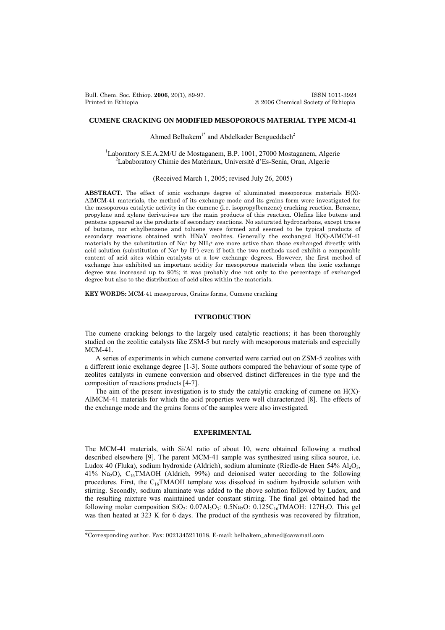Bull. Chem. Soc. Ethiop. **2006**, 20(1), 89-97. ISSN 1011-3924 Printed in Ethiopia © 2006 Chemical Society of Ethiopia

# **CUMENE CRACKING ON MODIFIED MESOPOROUS MATERIAL TYPE MCM-41**

Ahmed Belhakem<sup>1\*</sup> and Abdelkader Bengueddach<sup>2</sup>

<sup>1</sup>Laboratory S.E.A.2M/U de Mostaganem, B.P. 1001, 27000 Mostaganem, Algerie Lababoratory Chimie des Matériaux, Université d'Es-Senia, Oran, Algerie

(Received March 1, 2005; revised July 26, 2005)

**ABSTRACT.** The effect of ionic exchange degree of aluminated mesoporous materials H(X)- AlMCM-41 materials, the method of its exchange mode and its grains form were investigated for the mesoporous catalytic activity in the cumene (i.e. isopropylbenzene) cracking reaction. Benzene, propylene and xylene derivatives are the main products of this reaction. Olefins like butene and pentene appeared as the products of secondary reactions. No saturated hydrocarbons, except traces of butane, nor ethylbenzene and toluene were formed and seemed to be typical products of secondary reactions obtained with HNaY zeolites. Generally the exchanged H(X)-AlMCM-41 materials by the substitution of  $Na<sup>+</sup>$  by  $NH<sub>4</sub><sup>+</sup>$  are more active than those exchanged directly with acid solution (substitution of Na+ by H+) even if both the two methods used exhibit a comparable content of acid sites within catalysts at a low exchange degrees. However, the first method of exchange has exhibited an important acidity for mesoporous materials when the ionic exchange degree was increased up to 90%; it was probably due not only to the percentage of exchanged degree but also to the distribution of acid sites within the materials.

**KEY WORDS:** MCM-41 mesoporous, Grains forms, Cumene cracking

## **INTRODUCTION**

The cumene cracking belongs to the largely used catalytic reactions; it has been thoroughly studied on the zeolitic catalysts like ZSM-5 but rarely with mesoporous materials and especially MCM-41.

A series of experiments in which cumene converted were carried out on ZSM-5 zeolites with a different ionic exchange degree [1-3]. Some authors compared the behaviour of some type of zeolites catalysts in cumene conversion and observed distinct differences in the type and the composition of reactions products [4-7].

The aim of the present investigation is to study the catalytic cracking of cumene on  $H(X)$ -AlMCM-41 materials for which the acid properties were well characterized [8]. The effects of the exchange mode and the grains forms of the samples were also investigated.

# **EXPERIMENTAL**

The MCM-41 materials, with Si/Al ratio of about 10, were obtained following a method described elsewhere [9]. The parent MCM-41 sample was synthesized using silica source, i.e. Ludox 40 (Fluka), sodium hydroxide (Aldrich), sodium aluminate (Riedle-de Haen 54% Al<sub>2</sub>O<sub>3</sub>, 41% Na<sub>2</sub>O),  $C_{16}TMAOH$  (Aldrich, 99%) and deionised water according to the following procedures. First, the  $C_{16}TMAOH$  template was dissolved in sodium hydroxide solution with stirring. Secondly, sodium aluminate was added to the above solution followed by Ludox, and the resulting mixture was maintained under constant stirring. The final gel obtained had the following molar composition SiO<sub>2</sub>:  $0.07Al_2O_3$ :  $0.5Na_2O$ :  $0.125C_{16}TMAOH$ : 127H<sub>2</sub>O. This gel was then heated at 323 K for 6 days. The product of the synthesis was recovered by filtration,

 $\frac{1}{2}$ 

<sup>\*</sup>Corresponding author. Fax: 0021345211018. E-mail: belhakem\_ahmed@caramail.com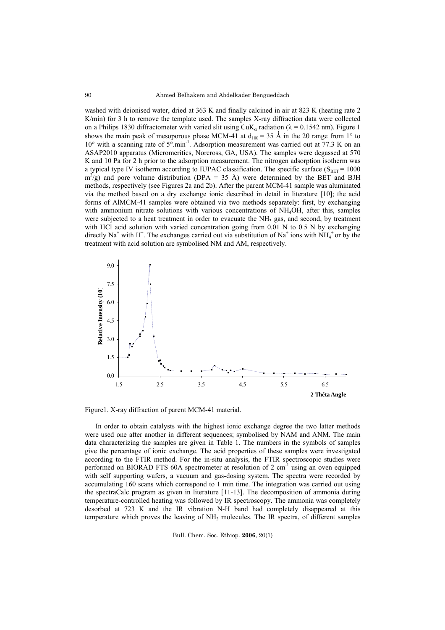washed with deionised water, dried at 363 K and finally calcined in air at 823 K (heating rate 2 K/min) for 3 h to remove the template used. The samples X-ray diffraction data were collected on a Philips 1830 diffractometer with varied slit using  $CuK_a$  radiation ( $\lambda = 0.1542$  nm). Figure 1 shows the main peak of mesoporous phase MCM-41 at  $d_{100} = 35 \text{ Å}$  in the 20 range from 1° to  $10^{\circ}$  with a scanning rate of  $5^{\circ}$ .min<sup>-1</sup>. Adsorption measurement was carried out at 77.3 K on an ASAP2010 apparatus (Micromeritics, Norcross, GA, USA). The samples were degassed at 570 K and 10 Pa for 2 h prior to the adsorption measurement. The nitrogen adsorption isotherm was a typical type IV isotherm according to IUPAC classification. The specific surface ( $S_{BET}$  = 1000  $m^2/g$ ) and pore volume distribution (DPA = 35 Å) were determined by the BET and BJH methods, respectively (see Figures 2a and 2b). After the parent MCM-41 sample was aluminated via the method based on a dry exchange ionic described in detail in literature [10]; the acid forms of AlMCM-41 samples were obtained via two methods separately: first, by exchanging with ammonium nitrate solutions with various concentrations of NH<sub>4</sub>OH, after this, samples were subjected to a heat treatment in order to evacuate the  $NH<sub>3</sub>$  gas, and second, by treatment with HCl acid solution with varied concentration going from 0.01 N to 0.5 N by exchanging directly Na<sup>+</sup> with H<sup>+</sup>. The exchanges carried out via substitution of Na<sup>+</sup> ions with NH<sub>4</sub><sup>+</sup> or by the treatment with acid solution are symbolised NM and AM, respectively.



Figure1. X-ray diffraction of parent MCM-41 material.

In order to obtain catalysts with the highest ionic exchange degree the two latter methods were used one after another in different sequences; symbolised by NAM and ANM. The main data characterizing the samples are given in Table 1. The numbers in the symbols of samples give the percentage of ionic exchange. The acid properties of these samples were investigated according to the FTIR method. For the in-situ analysis, the FTIR spectroscopic studies were performed on BIORAD FTS 60A spectrometer at resolution of 2 cm<sup>-1</sup> using an oven equipped with self supporting wafers, a vacuum and gas-dosing system. The spectra were recorded by accumulating 160 scans which correspond to 1 min time. The integration was carried out using the spectraCalc program as given in literature [11-13]. The decomposition of ammonia during temperature-controlled heating was followed by IR spectroscopy. The ammonia was completely desorbed at 723 K and the IR vibration N-H band had completely disappeared at this temperature which proves the leaving of  $NH<sub>3</sub>$  molecules. The IR spectra, of different samples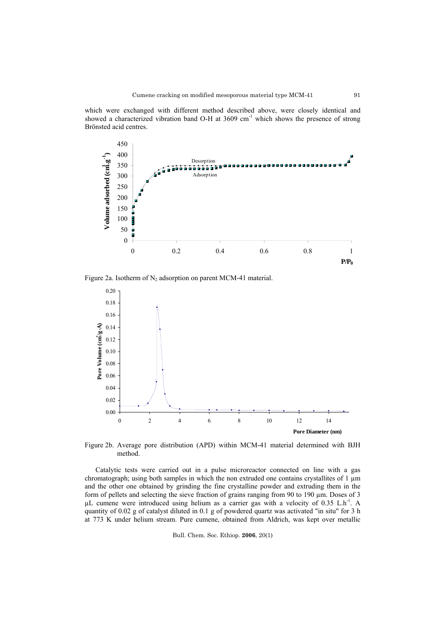which were exchanged with different method described above, were closely identical and showed a characterized vibration band O-H at 3609 cm<sup>-1</sup> which shows the presence of strong Brönsted acid centres.



Figure 2a. Isotherm of  $N_2$  adsorption on parent MCM-41 material.



Figure 2b. Average pore distribution (APD) within MCM-41 material determined with BJH method.

Catalytic tests were carried out in a pulse microreactor connected on line with a gas chromatograph; using both samples in which the non extruded one contains crystallites of  $1 \mu m$ and the other one obtained by grinding the fine crystalline powder and extruding them in the form of pellets and selecting the sieve fraction of grains ranging from 90 to 190 µm. Doses of 3 µL cumene were introduced using helium as a carrier gas with a velocity of 0.35 L.h<sup>-1</sup>. A quantity of 0.02 g of catalyst diluted in 0.1 g of powdered quartz was activated "in situ" for 3 h at 773 K under helium stream. Pure cumene, obtained from Aldrich, was kept over metallic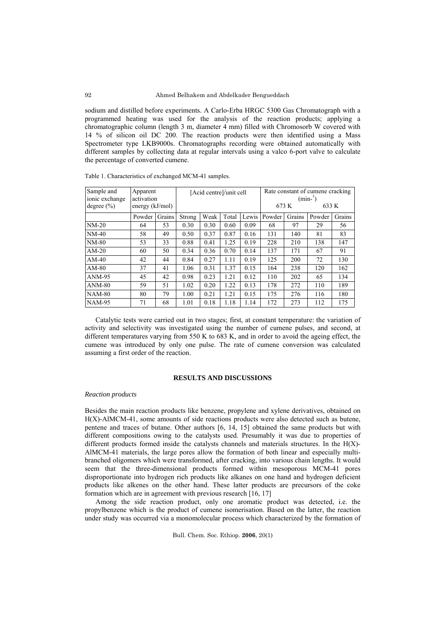sodium and distilled before experiments. A Carlo-Erba HRGC 5300 Gas Chromatograph with a programmed heating was used for the analysis of the reaction products; applying a chromatographic column (length 3 m, diameter 4 mm) filled with Chromosorb W covered with 14 % of silicon oil DC 200. The reaction products were then identified using a Mass Spectrometer type LKB9000s. Chromatographs recording were obtained automatically with different samples by collecting data at regular intervals using a valco 6-port valve to calculate the percentage of converted cumene.

| Sample and                       | Apparent                        |        | [Acid centre]/unit cell |      |       |       | Rate constant of cumene cracking<br>$(min-1)$ |        |        |        |
|----------------------------------|---------------------------------|--------|-------------------------|------|-------|-------|-----------------------------------------------|--------|--------|--------|
| ionic exchange<br>degree $(\% )$ | activation<br>energy $(kJ/mol)$ |        |                         |      |       |       | 673 K                                         |        | 633 K  |        |
|                                  | Powder                          | Grains | Strong                  | Weak | Total | Lewis | Powder                                        | Grains | Powder | Grains |
| $NM-20$                          | 64                              | 53     | 0.30                    | 0.30 | 0.60  | 0.09  | 68                                            | 97     | 29     | 56     |
| $NM-40$                          | 58                              | 49     | 0.50                    | 0.37 | 0.87  | 0.16  | 131                                           | 140    | 81     | 83     |
| $NM-80$                          | 53                              | 33     | 0.88                    | 0.41 | 1.25  | 0.19  | 228                                           | 210    | 138    | 147    |
| $AM-20$                          | 60                              | 50     | 0.34                    | 0.36 | 0.70  | 0.14  | 137                                           | 171    | 67     | 91     |
| $AM-40$                          | 42                              | 44     | 0.84                    | 0.27 | 1.11  | 0.19  | 125                                           | 200    | 72     | 130    |
| $AM-80$                          | 37                              | 41     | 1.06                    | 0.31 | 1.37  | 0.15  | 164                                           | 238    | 120    | 162    |
| $ANM-95$                         | 45                              | 42     | 0.98                    | 0.23 | 1.21  | 0.12  | 110                                           | 202    | 65     | 134    |
| $ANM-80$                         | 59                              | 51     | 1.02                    | 0.20 | 1.22  | 0.13  | 178                                           | 272    | 110    | 189    |
| $NAM-80$                         | 80                              | 79     | 1.00                    | 0.21 | 1.21  | 0.15  | 175                                           | 276    | 116    | 180    |
| <b>NAM-95</b>                    | 71                              | 68     | 1.01                    | 0.18 | 1.18  | 1.14  | 172                                           | 273    | 112    | 175    |

Table 1. Characteristics of exchanged MCM-41 samples.

Catalytic tests were carried out in two stages; first, at constant temperature: the variation of activity and selectivity was investigated using the number of cumene pulses, and second, at different temperatures varying from 550 K to 683 K, and in order to avoid the ageing effect, the cumene was introduced by only one pulse. The rate of cumene conversion was calculated assuming a first order of the reaction.

### **RESULTS AND DISCUSSIONS**

#### *Reaction products*

Besides the main reaction products like benzene, propylene and xylene derivatives, obtained on H(X)-AlMCM-41, some amounts of side reactions products were also detected such as butene, pentene and traces of butane. Other authors [6, 14, 15] obtained the same products but with different compositions owing to the catalysts used. Presumably it was due to properties of different products formed inside the catalysts channels and materials structures. In the H(X)- AlMCM-41 materials, the large pores allow the formation of both linear and especially multibranched oligomers which were transformed, after cracking, into various chain lengths. It would seem that the three-dimensional products formed within mesoporous MCM-41 pores disproportionate into hydrogen rich products like alkanes on one hand and hydrogen deficient products like alkenes on the other hand. These latter products are precursors of the coke formation which are in agreement with previous research [16, 17]

Among the side reaction product, only one aromatic product was detected, i.e. the propylbenzene which is the product of cumene isomerisation. Based on the latter, the reaction under study was occurred via a monomolecular process which characterized by the formation of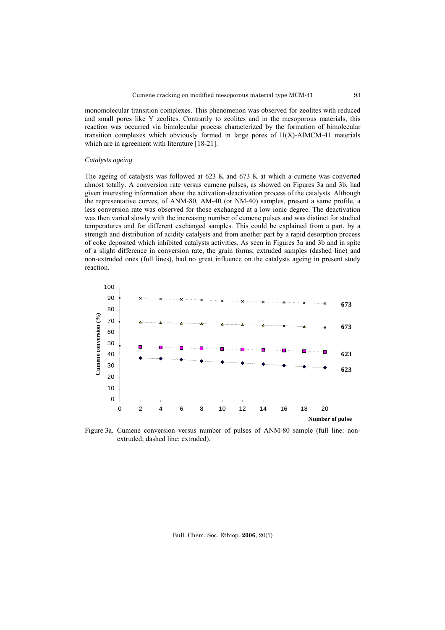monomolecular transition complexes. This phenomenon was observed for zeolites with reduced and small pores like Y zeolites. Contrarily to zeolites and in the mesoporous materials, this reaction was occurred via bimolecular process characterized by the formation of bimolecular transition complexes which obviously formed in large pores of H(X)-AlMCM-41 materials which are in agreement with literature [18-21].

### *Catalysts ageing*

The ageing of catalysts was followed at 623 K and 673 K at which a cumene was converted almost totally. A conversion rate versus cumene pulses, as showed on Figures 3a and 3b, had given interesting information about the activation-deactivation process of the catalysts. Although the representative curves, of ANM-80, AM-40 (or NM-40) samples, present a same profile, a less conversion rate was observed for those exchanged at a low ionic degree. The deactivation was then varied slowly with the increasing number of cumene pulses and was distinct for studied temperatures and for different exchanged samples. This could be explained from a part, by a strength and distribution of acidity catalysts and from another part by a rapid desorption process of coke deposited which inhibited catalysts activities. As seen in Figures 3a and 3b and in spite of a slight difference in conversion rate, the grain forms; extruded samples (dashed line) and non-extruded ones (full lines), had no great influence on the catalysts ageing in present study reaction.



Figure 3a. Cumene conversion versus number of pulses of ANM-80 sample (full line: nonextruded; dashed line: extruded).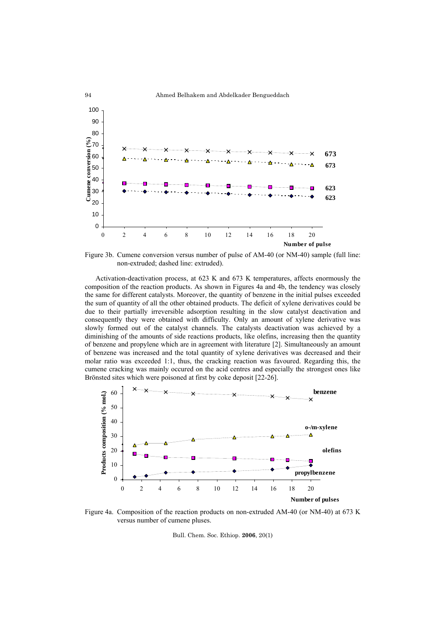

Figure 3b. Cumene conversion versus number of pulse of AM-40 (or NM-40) sample (full line: non-extruded; dashed line: extruded).

Activation-deactivation process, at 623 K and 673 K temperatures, affects enormously the composition of the reaction products. As shown in Figures 4a and 4b, the tendency was closely the same for different catalysts. Moreover, the quantity of benzene in the initial pulses exceeded the sum of quantity of all the other obtained products. The deficit of xylene derivatives could be due to their partially irreversible adsorption resulting in the slow catalyst deactivation and consequently they were obtained with difficulty. Only an amount of xylene derivative was slowly formed out of the catalyst channels. The catalysts deactivation was achieved by a diminishing of the amounts of side reactions products, like olefins, increasing then the quantity of benzene and propylene which are in agreement with literature [2]. Simultaneously an amount of benzene was increased and the total quantity of xylene derivatives was decreased and their molar ratio was exceeded 1:1, thus, the cracking reaction was favoured. Regarding this, the cumene cracking was mainly occured on the acid centres and especially the strongest ones like Brönsted sites which were poisoned at first by coke deposit [22-26].



Figure 4a. Composition of the reaction products on non-extruded AM-40 (or NM-40) at 673 K versus number of cumene pluses.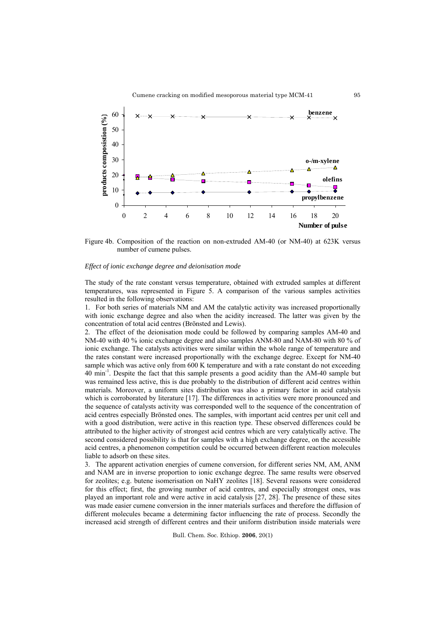

Figure 4b. Composition of the reaction on non-extruded AM-40 (or NM-40) at 623K versus number of cumene pulses.

### *Effect of ionic exchange degree and deionisation mode*

The study of the rate constant versus temperature, obtained with extruded samples at different temperatures, was represented in Figure 5. A comparison of the various samples activities resulted in the following observations:

1. For both series of materials NM and AM the catalytic activity was increased proportionally with ionic exchange degree and also when the acidity increased. The latter was given by the concentration of total acid centres (Brönsted and Lewis).

2. The effect of the deionisation mode could be followed by comparing samples AM-40 and NM-40 with 40 % ionic exchange degree and also samples ANM-80 and NAM-80 with 80 % of ionic exchange. The catalysts activities were similar within the whole range of temperature and the rates constant were increased proportionally with the exchange degree. Except for NM-40 sample which was active only from 600 K temperature and with a rate constant do not exceeding 40 min-1. Despite the fact that this sample presents a good acidity than the AM-40 sample but was remained less active, this is due probably to the distribution of different acid centres within materials. Moreover, a uniform sites distribution was also a primary factor in acid catalysis which is corroborated by literature [17]. The differences in activities were more pronounced and the sequence of catalysts activity was corresponded well to the sequence of the concentration of acid centres especially Brönsted ones. The samples, with important acid centres per unit cell and with a good distribution, were active in this reaction type. These observed differences could be attributed to the higher activity of strongest acid centres which are very catalytically active. The second considered possibility is that for samples with a high exchange degree, on the accessible acid centres, a phenomenon competition could be occurred between different reaction molecules liable to adsorb on these sites.

3. The apparent activation energies of cumene conversion, for different series NM, AM, ANM and NAM are in inverse proportion to ionic exchange degree. The same results were observed for zeolites; e.g. butene isomerisation on NaHY zeolites [18]. Several reasons were considered for this effect; first, the growing number of acid centres, and especially strongest ones, was played an important role and were active in acid catalysis [27, 28]. The presence of these sites was made easier cumene conversion in the inner materials surfaces and therefore the diffusion of different molecules became a determining factor influencing the rate of process. Secondly the increased acid strength of different centres and their uniform distribution inside materials were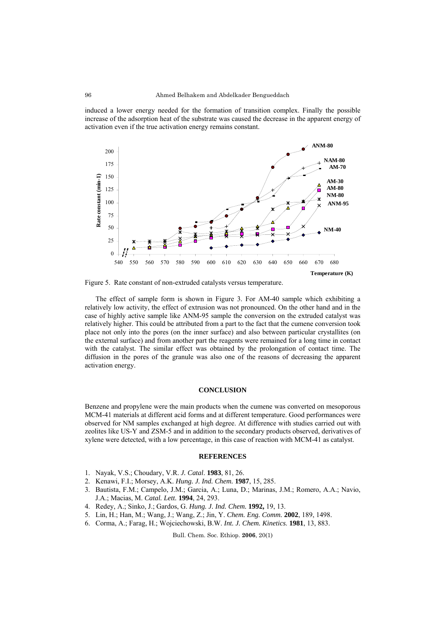induced a lower energy needed for the formation of transition complex. Finally the possible increase of the adsorption heat of the substrate was caused the decrease in the apparent energy of activation even if the true activation energy remains constant.



Figure 5. Rate constant of non-extruded catalysts versus temperature.

The effect of sample form is shown in Figure 3. For AM-40 sample which exhibiting a relatively low activity, the effect of extrusion was not pronounced. On the other hand and in the case of highly active sample like ANM-95 sample the conversion on the extruded catalyst was relatively higher. This could be attributed from a part to the fact that the cumene conversion took place not only into the pores (on the inner surface) and also between particular crystallites (on the external surface) and from another part the reagents were remained for a long time in contact with the catalyst. The similar effect was obtained by the prolongation of contact time. The diffusion in the pores of the granule was also one of the reasons of decreasing the apparent activation energy.

## **CONCLUSION**

Benzene and propylene were the main products when the cumene was converted on mesoporous MCM-41 materials at different acid forms and at different temperature. Good performances were observed for NM samples exchanged at high degree. At difference with studies carried out with zeolites like US-Y and ZSM-5 and in addition to the secondary products observed, derivatives of xylene were detected, with a low percentage, in this case of reaction with MCM-41 as catalyst.

### **REFERENCES**

- 1. Nayak, V.S.; Choudary, V.R. *J. Catal*. **1983**, 81, 26.
- 2. Kenawi, F.I.; Morsey, A.K. *Hung. J. Ind. Chem.* **1987**, 15, 285.
- 3. Bautista, F.M.; Campelo, J.M.; Garcia, A.; Luna, D.; Marinas, J.M.; Romero, A.A.; Navio, J.A.; Macias, M. *Catal. Lett.* **1994**, 24, 293.
- 4. Redey, A.; Sinko, J.; Gardos, G. *Hung. J. Ind. Chem.* **1992,** 19, 13.
- 5. Lin, H.; Han, M.; Wang, J.; Wang, Z.; Jin, Y. *Chem. Eng. Comm.* **2002**, 189, 1498.
- 6. Corma, A.; Farag, H.; Wojciechowski, B.W. *Int. J. Chem. Kinetics*. **1981**, 13, 883.